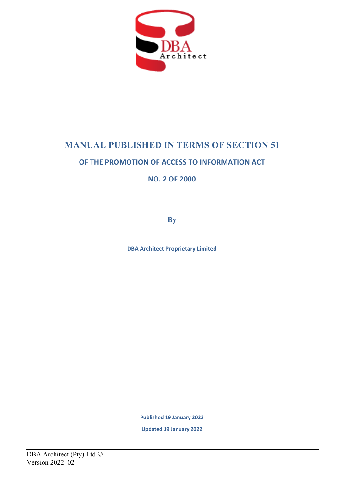

# **MANUAL PUBLISHED IN TERMS OF SECTION 51**

## **OF THE PROMOTION OF ACCESS TO INFORMATION ACT**

**NO. 2 OF 2000**

**By**

**DBA Architect Proprietary Limited**

**Published 19 January 2022**

**Updated 19 January 2022**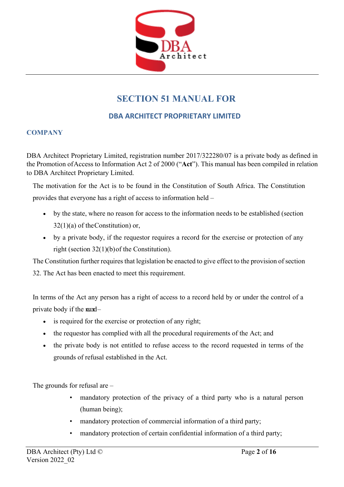

## **SECTION 51 MANUAL FOR**

## **DBA ARCHITECT PROPRIETARY LIMITED**

## **COMPANY**

DBA Architect Proprietary Limited, registration number 2017/322280/07 is a private body as defined in the Promotion of Access to Information Act 2 of 2000 ("**Act**"). This manual has been compiled in relation to DBA Architect Proprietary Limited.

The motivation for the Act is to be found in the Constitution of South Africa. The Constitution provides that everyone has a right of access to information held –

- by the state, where no reason for access to the information needs to be established (section  $32(1)(a)$  of the Constitution) or,
- by a private body, if the requestor requires a record for the exercise or protection of any right (section 32(1)(b) of the Constitution).

The Constitution further requires that legislation be enacted to give effect to the provision of section 32. The Act has been enacted to meet this requirement.

In terms of the Act any person has a right of access to a record held by or under the control of a private body if the  $\text{mod}-$ 

- is required for the exercise or protection of any right;
- the requestor has complied with all the procedural requirements of the Act; and
- the private body is not entitled to refuse access to the record requested in terms of the grounds of refusal established in the Act.

The grounds for refusal are –

- mandatory protection of the privacy of a third party who is a natural person (human being);
- mandatory protection of commercial information of a third party;
- mandatory protection of certain confidential information of a third party;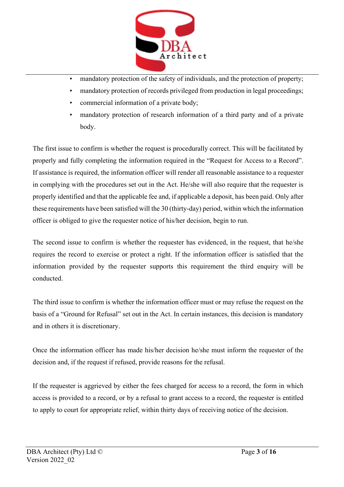

- mandatory protection of the safety of individuals, and the protection of property;
- mandatory protection of records privileged from production in legal proceedings;
- commercial information of a private body;
- mandatory protection of research information of a third party and of a private body.

The first issue to confirm is whether the request is procedurally correct. This will be facilitated by properly and fully completing the information required in the "Request for Access to a Record". If assistance is required, the information officer will render all reasonable assistance to a requester in complying with the procedures set out in the Act. He/she will also require that the requester is properly identified and that the applicable fee and, if applicable a deposit, has been paid. Only after these requirements have been satisfied will the 30 (thirty-day) period, within which the information officer is obliged to give the requester notice of his/her decision, begin to run.

The second issue to confirm is whether the requester has evidenced, in the request, that he/she requires the record to exercise or protect a right. If the information officer is satisfied that the information provided by the requester supports this requirement the third enquiry will be conducted.

The third issue to confirm is whether the information officer must or may refuse the request on the basis of a "Ground for Refusal" set out in the Act. In certain instances, this decision is mandatory and in others it is discretionary.

Once the information officer has made his/her decision he/she must inform the requester of the decision and, if the request if refused, provide reasons for the refusal.

If the requester is aggrieved by either the fees charged for access to a record, the form in which access is provided to a record, or by a refusal to grant access to a record, the requester is entitled to apply to court for appropriate relief, within thirty days of receiving notice of the decision.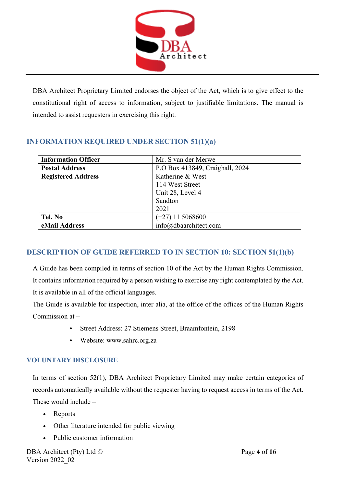

DBA Architect Proprietary Limited endorses the object of the Act, which is to give effect to the constitutional right of access to information, subject to justifiable limitations. The manual is intended to assist requesters in exercising this right.

## **INFORMATION REQUIRED UNDER SECTION 51(1)(a)**

| <b>Information Officer</b> | Mr. S van der Merwe             |
|----------------------------|---------------------------------|
| <b>Postal Address</b>      | P.O Box 413849, Craighall, 2024 |
| <b>Registered Address</b>  | Katherine & West                |
|                            | 114 West Street                 |
|                            | Unit 28, Level 4                |
|                            | Sandton                         |
|                            | 2021                            |
| Tel. No                    | $(+27)$ 11 5068600              |
| eMail Address              | info@dbaarchitect.com           |

## **DESCRIPTION OF GUIDE REFERRED TO IN SECTION 10: SECTION 51(1)(b)**

A Guide has been compiled in terms of section 10 of the Act by the Human Rights Commission. It contains information required by a person wishing to exercise any right contemplated by the Act. It is available in all of the official languages.

The Guide is available for inspection, inter alia, at the office of the offices of the Human Rights Commission at –

- Street Address: 27 Stiemens Street, Braamfontein, 2198
- Website: [www.sahrc.org.za](http://www.sahrc.org.za/)

## **VOLUNTARY DISCLOSURE**

In terms of section 52(1), DBA Architect Proprietary Limited may make certain categories of records automatically available without the requester having to request access in terms of the Act. These would include –

- Reports
- Other literature intended for public viewing
- Public customer information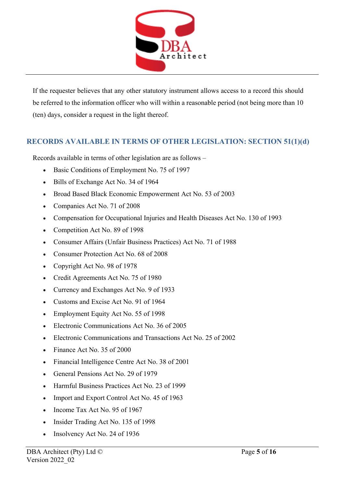

If the requester believes that any other statutory instrument allows access to a record this should be referred to the information officer who will within a reasonable period (not being more than 10 (ten) days, consider a request in the light thereof.

## **RECORDS AVAILABLE IN TERMS OF OTHER LEGISLATION: SECTION 51(1)(d)**

Records available in terms of other legislation are as follows –

- Basic Conditions of Employment No. 75 of 1997
- Bills of Exchange Act No. 34 of 1964
- Broad Based Black Economic Empowerment Act No. 53 of 2003
- Companies Act No. 71 of 2008
- Compensation for Occupational Injuries and Health Diseases Act No. 130 of 1993
- Competition Act No. 89 of 1998
- Consumer Affairs (Unfair Business Practices) Act No. 71 of 1988
- Consumer Protection Act No. 68 of 2008
- Copyright Act No. 98 of 1978
- Credit Agreements Act No. 75 of 1980
- Currency and Exchanges Act No. 9 of 1933
- Customs and Excise Act No. 91 of 1964
- Employment Equity Act No. 55 of 1998
- Electronic Communications Act No. 36 of 2005
- Electronic Communications and Transactions Act No. 25 of 2002
- Finance Act No. 35 of 2000
- Financial Intelligence Centre Act No. 38 of 2001
- General Pensions Act No. 29 of 1979
- Harmful Business Practices Act No. 23 of 1999
- Import and Export Control Act No. 45 of 1963
- Income Tax Act No. 95 of 1967
- Insider Trading Act No. 135 of 1998
- Insolvency Act No. 24 of 1936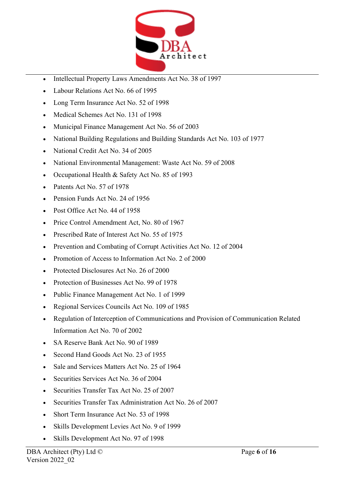

- Intellectual Property Laws Amendments Act No. 38 of 1997
- Labour Relations Act No. 66 of 1995
- Long Term Insurance Act No. 52 of 1998
- Medical Schemes Act No. 131 of 1998
- Municipal Finance Management Act No. 56 of 2003
- National Building Regulations and Building Standards Act No. 103 of 1977
- National Credit Act No. 34 of 2005
- National Environmental Management: Waste Act No. 59 of 2008
- Occupational Health & Safety Act No. 85 of 1993
- Patents Act No. 57 of 1978
- Pension Funds Act No. 24 of 1956
- Post Office Act No. 44 of 1958
- Price Control Amendment Act, No. 80 of 1967
- Prescribed Rate of Interest Act No. 55 of 1975
- Prevention and Combating of Corrupt Activities Act No. 12 of 2004
- Promotion of Access to Information Act No. 2 of 2000
- Protected Disclosures Act No. 26 of 2000
- Protection of Businesses Act No. 99 of 1978
- Public Finance Management Act No. 1 of 1999
- Regional Services Councils Act No. 109 of 1985
- Regulation of Interception of Communications and Provision of Communication Related Information Act No. 70 of 2002
- SA Reserve Bank Act No. 90 of 1989
- Second Hand Goods Act No. 23 of 1955
- Sale and Services Matters Act No. 25 of 1964
- Securities Services Act No. 36 of 2004
- Securities Transfer Tax Act No. 25 of 2007
- Securities Transfer Tax Administration Act No. 26 of 2007
- Short Term Insurance Act No. 53 of 1998
- Skills Development Levies Act No. 9 of 1999
- Skills Development Act No. 97 of 1998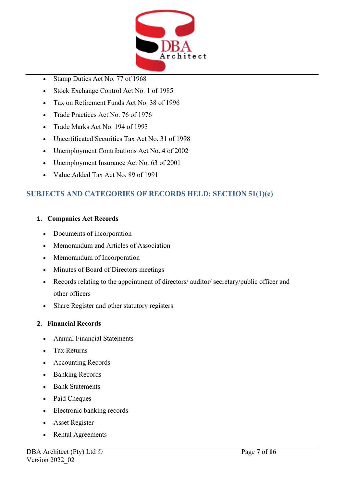

- Stamp Duties Act No. 77 of 1968
- Stock Exchange Control Act No. 1 of 1985
- Tax on Retirement Funds Act No. 38 of 1996
- Trade Practices Act No. 76 of 1976
- Trade Marks Act No. 194 of 1993
- Uncertificated Securities Tax Act No. 31 of 1998
- Unemployment Contributions Act No. 4 of 2002
- Unemployment Insurance Act No. 63 of 2001
- Value Added Tax Act No. 89 of 1991

## **SUBJECTS AND CATEGORIES OF RECORDS HELD: SECTION 51(1)(e)**

## **1. Companies Act Records**

- Documents of incorporation
- Memorandum and Articles of Association
- Memorandum of Incorporation
- Minutes of Board of Directors meetings
- Records relating to the appointment of directors/ auditor/ secretary/public officer and other officers
- Share Register and other statutory registers

## **2. Financial Records**

- Annual Financial Statements
- Tax Returns
- Accounting Records
- Banking Records
- Bank Statements
- Paid Cheques
- Electronic banking records
- Asset Register
- Rental Agreements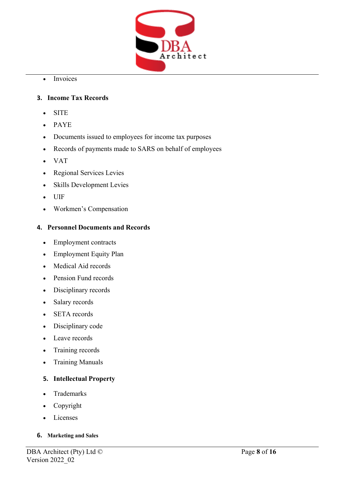

• Invoices

## **3. Income Tax Records**

- SITE
- PAYE
- Documents issued to employees for income tax purposes
- Records of payments made to SARS on behalf of employees
- VAT
- Regional Services Levies
- Skills Development Levies
- UIF
- Workmen's Compensation

## **4. Personnel Documents and Records**

- Employment contracts
- Employment Equity Plan
- Medical Aid records
- Pension Fund records
- Disciplinary records
- Salary records
- SETA records
- Disciplinary code
- Leave records
- Training records
- Training Manuals

## **5. Intellectual Property**

- Trademarks
- Copyright
- Licenses

## **6. Marketing and Sales**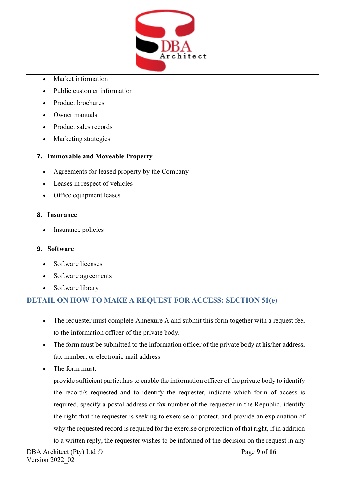

- Market information
- Public customer information
- Product brochures
- Owner manuals
- Product sales records
- Marketing strategies

## **7. Immovable and Moveable Property**

- Agreements for leased property by the Company
- Leases in respect of vehicles
- Office equipment leases

## **8. Insurance**

• Insurance policies

## **9. Software**

- Software licenses
- Software agreements
- Software library

## **DETAIL ON HOW TO MAKE A REQUEST FOR ACCESS: SECTION 51(e)**

- The requester must complete Annexure A and submit this form together with a request fee, to the information officer of the private body.
- The form must be submitted to the information officer of the private body at his/her address, fax number, or electronic mail address
- The form must:-

provide sufficient particulars to enable the information officer of the private body to identify the record/s requested and to identify the requester, indicate which form of access is required, specify a postal address or fax number of the requester in the Republic, identify the right that the requester is seeking to exercise or protect, and provide an explanation of why the requested record is required for the exercise or protection of that right, if in addition to a written reply, the requester wishes to be informed of the decision on the request in any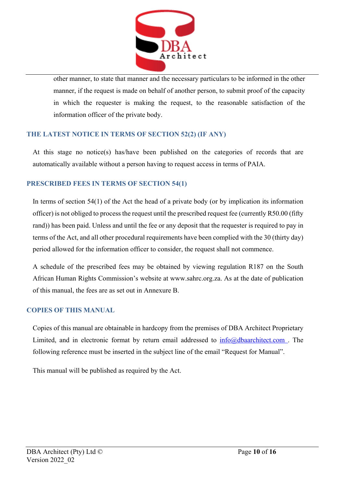

other manner, to state that manner and the necessary particulars to be informed in the other manner, if the request is made on behalf of another person, to submit proof of the capacity in which the requester is making the request, to the reasonable satisfaction of the information officer of the private body.

## **THE LATEST NOTICE IN TERMS OF SECTION 52(2) (IF ANY)**

At this stage no notice(s) has/have been published on the categories of records that are automatically available without a person having to request access in terms of PAIA.

## **PRESCRIBED FEES IN TERMS OF SECTION 54(1)**

In terms of section 54(1) of the Act the head of a private body (or by implication its information officer) is not obliged to process the request until the prescribed request fee (currently R50.00 (fifty rand)) has been paid. Unless and until the fee or any deposit that the requester is required to pay in terms of the Act, and all other procedural requirements have been complied with the 30 (thirty day) period allowed for the information officer to consider, the request shall not commence.

A schedule of the prescribed fees may be obtained by viewing regulation R187 on the South African Human Rights Commission's website at [www.sahrc.org.za.](http://www.sahrc.org.za/) As at the date of publication of this manual, the fees are as set out in Annexure B.

## **COPIES OF THIS MANUAL**

Copies of this manual are obtainable in hardcopy from the premises of DBA Architect Proprietary Limited, and in electronic format by return email addressed to  $info@dbaarchitect.com$ . The following reference must be inserted in the subject line of the email "Request for Manual".

This manual will be published as required by the Act.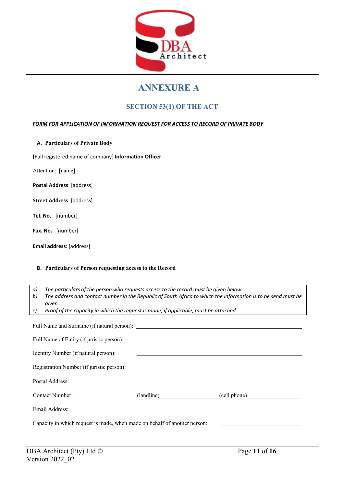

## **ANNEXURE A**

## **SECTION 53(1) OF THE ACT**

### *FORM FOR APPLICATION OF INFORMATION REQUEST FOR ACCESS TO RECORD OF PRIVATE BODY*

**A. Particulars of Private Body**

[Full registered name of company] **Information Officer**

Attention: [name]

**Postal Address**: [address]

**Street Address**: [address]

**Tel. No.**: [number]

**Fax. No.**: [number]

**Email address**: [address]

#### **B. Particulars of Person requesting access to the Record**

*a) The particulars of the person who requests access to the record must be given below.*

*b) The address and contact number in the Republic of South Africa to which the information is to be send must be given.*

*c) Proof of the capacity in which the request is made, if applicable, must be attached.*

| Full Name of Entity (if juristic person):                                 | <u> 1980 - Johann Barn, amerikan besteman besteman besteman besteman besteman besteman besteman besteman bestema</u> |                                                |
|---------------------------------------------------------------------------|----------------------------------------------------------------------------------------------------------------------|------------------------------------------------|
| Identity Number (if natural person):                                      |                                                                                                                      |                                                |
| Registration Number (if juristic person):                                 | <u> Andreas Andreas Andreas Andreas Andreas Andreas Andreas Andreas Andreas Andreas Andreas Andreas Andreas Andr</u> |                                                |
| Postal Address:                                                           |                                                                                                                      |                                                |
| Contact Number:                                                           |                                                                                                                      | (landline) (cell phone)                        |
| Email Address:                                                            |                                                                                                                      |                                                |
| Capacity in which request is made, when made on behalf of another person: |                                                                                                                      | <u> 1980 - Jan Sterling Sterling (d. 1980)</u> |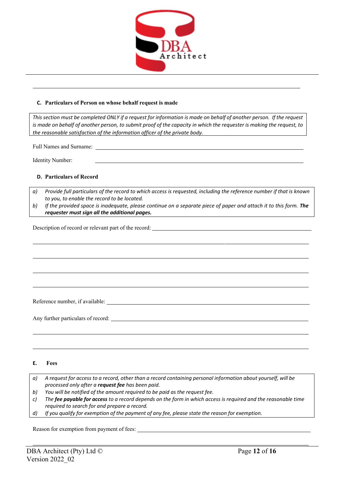

#### **C. Particulars of Person on whose behalf request is made**

This section must be completed ONLY if a request for information is made on behalf of another person. If the request is made on behalf of another person, to submit proof of the capacity in which the requester is making the request, to *the reasonable satisfaction of the information officer of the private body.*

Full Names and Surname:

Identity Number:

#### **D. Particulars of Record**

- *a) Provide full particulars of the record to which access is requested, including the reference number if that is known to you, to enable the record to be located.*
- b) If the provided space is inadequate, please continue on a separate piece of paper and attach it to this form. The *requester must sign all the additional pages.*

Description of record or relevant part of the record:

Reference number, if available:

Any further particulars of record:

#### **E. Fees**

- a) A request for access to a record, other than a record containing personal information about yourself, will be *processed only after a request fee has been paid.*
- *b) You will be notified of the amount required to be paid as the request fee.*
- *c) The fee payable for access to a record depends on the form in which access is required and the reasonable time required to search for and prepare a record.*
- *d) If you qualify for exemption of the payment of any fee, please state the reason for exemption.*

Reason for exemption from payment of fees: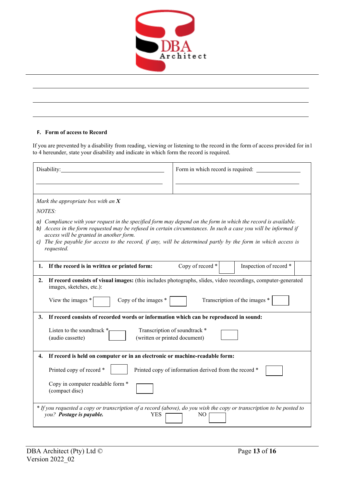

### **F. Form of access to Record**

If you are prevented by a disability from reading, viewing or listening to the record in the form of access provided for in 1 to 4 hereunder, state your disability and indicate in which form the record is required.

| Disability:                                                                                                                                                                                                                                                                                                                                                                                                 | Form in which record is required:                     |  |  |  |
|-------------------------------------------------------------------------------------------------------------------------------------------------------------------------------------------------------------------------------------------------------------------------------------------------------------------------------------------------------------------------------------------------------------|-------------------------------------------------------|--|--|--|
|                                                                                                                                                                                                                                                                                                                                                                                                             |                                                       |  |  |  |
| Mark the appropriate box with an $X$                                                                                                                                                                                                                                                                                                                                                                        |                                                       |  |  |  |
| NOTES:                                                                                                                                                                                                                                                                                                                                                                                                      |                                                       |  |  |  |
| a) Compliance with your request in the specified form may depend on the form in which the record is available.<br>b) Access in the form requested may be refused in certain circumstances. In such a case you will be informed if<br>access will be granted in another form.<br>c) The fee payable for access to the record, if any, will be determined partly by the form in which access is<br>requested. |                                                       |  |  |  |
| If the record is in written or printed form:<br>1.                                                                                                                                                                                                                                                                                                                                                          | Copy of record *<br>Inspection of record *            |  |  |  |
| If record consists of visual images: (this includes photographs, slides, video recordings, computer-generated<br>2.<br>images, sketches, etc.):<br>Transcription of the images *<br>Copy of the images *<br>View the images *                                                                                                                                                                               |                                                       |  |  |  |
| If record consists of recorded words or information which can be reproduced in sound:<br>3.                                                                                                                                                                                                                                                                                                                 |                                                       |  |  |  |
| Transcription of soundtrack *<br>Listen to the soundtrack *<br>(written or printed document)<br>(audio cassette)                                                                                                                                                                                                                                                                                            |                                                       |  |  |  |
| If record is held on computer or in an electronic or machine-readable form:<br>4.                                                                                                                                                                                                                                                                                                                           |                                                       |  |  |  |
| Printed copy of record *                                                                                                                                                                                                                                                                                                                                                                                    | Printed copy of information derived from the record * |  |  |  |
| Copy in computer readable form *<br>(compact disc)                                                                                                                                                                                                                                                                                                                                                          |                                                       |  |  |  |
| * If you requested a copy or transcription of a record (above), do you wish the copy or transcription to be posted to<br>you? Postage is payable.<br><b>YES</b><br>N <sub>O</sub>                                                                                                                                                                                                                           |                                                       |  |  |  |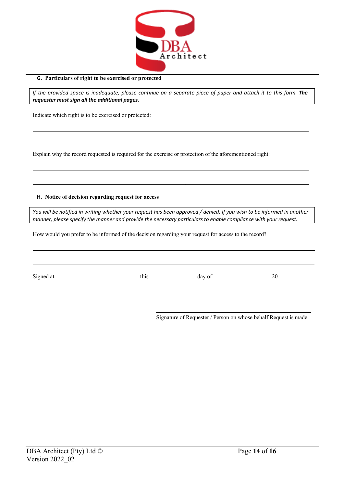

#### **G. Particulars of right to be exercised or protected**

If the provided space is inadequate, please continue on a separate piece of paper and attach it to this form. The *requester must sign all the additional pages.*

Indicate which right is to be exercised or protected:

Explain why the record requested is required for the exercise or protection of the aforementioned right:

### **H. Notice of decision regarding request for access**

You will be notified in writing whether your request has been approved / denied. If you wish to be informed in another *manner, please specify the manner and provide the necessary particulars to enable compliance with your request.*

How would you prefer to be informed of the decision regarding your request for access to the record?

| Signed at | this | day of |  |
|-----------|------|--------|--|

Signature of Requester / Person on whose behalf Request is made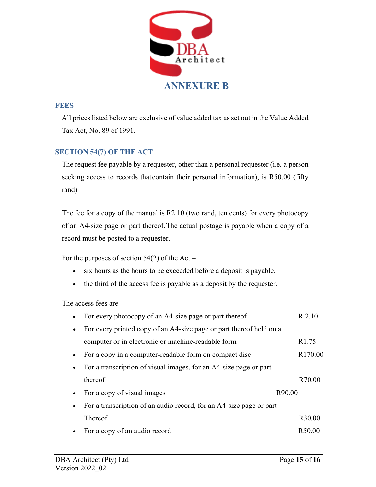

## **ANNEXURE B**

## **FEES**

All prices listed below are exclusive of value added tax as set out in the Value Added Tax Act, No. 89 of 1991.

## **SECTION 54(7) OF THE ACT**

The request fee payable by a requester, other than a personal requester (i.e. a person seeking access to records that contain their personal information), is R50.00 (fifty rand)

The fee for a copy of the manual is R2.10 (two rand, ten cents) for every photocopy of an A4-size page or part thereof.The actual postage is payable when a copy of a record must be posted to a requester.

For the purposes of section  $54(2)$  of the Act –

- six hours as the hours to be exceeded before a deposit is payable.
- the third of the access fee is payable as a deposit by the requester.

The access fees are –

| For every photocopy of an A4-size page or part thereof              | R 2.10              |
|---------------------------------------------------------------------|---------------------|
| For every printed copy of an A4-size page or part thereof held on a |                     |
| computer or in electronic or machine-readable form                  | R <sub>1.75</sub>   |
| • For a copy in a computer-readable form on compact disc            | R <sub>170.00</sub> |
| For a transcription of visual images, for an A4-size page or part   |                     |
| thereof                                                             | R70.00              |
| For a copy of visual images                                         | R90.00              |
| For a transcription of an audio record, for an A4-size page or part |                     |
| <b>Thereof</b>                                                      | R <sub>30.00</sub>  |
| For a copy of an audio record                                       | R50.00              |